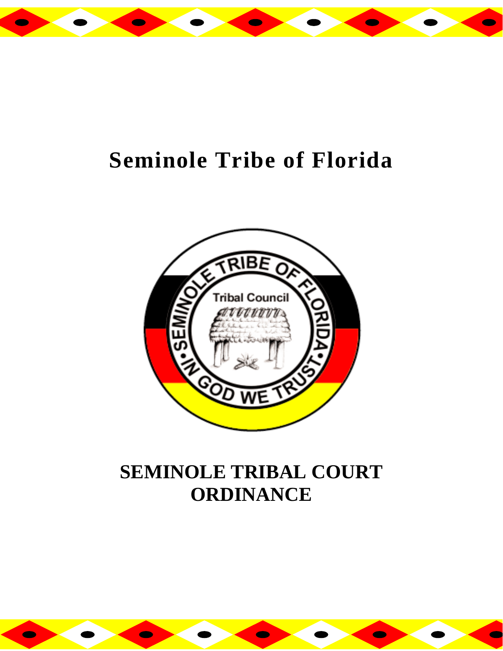

# **Seminole Tribe of Florida**



## **SEMINOLE TRIBAL COURT ORDINANCE**

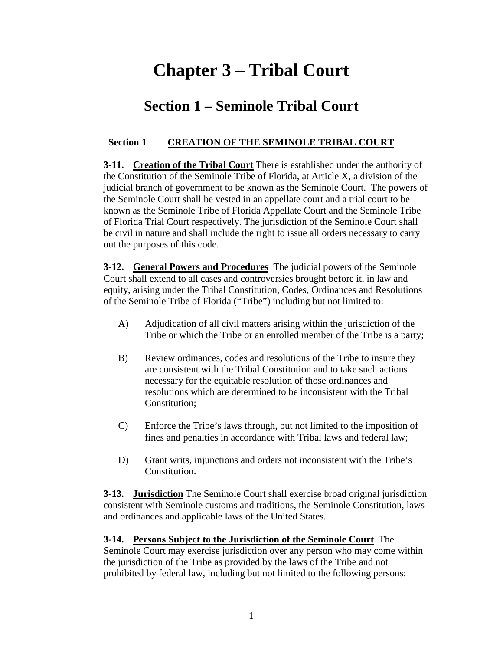### **Chapter 3 – Tribal Court**

### **Section 1 – Seminole Tribal Court**

#### **Section 1 CREATION OF THE SEMINOLE TRIBAL COURT**

**3-11. Creation of the Tribal Court** There is established under the authority of the Constitution of the Seminole Tribe of Florida, at Article X, a division of the judicial branch of government to be known as the Seminole Court. The powers of the Seminole Court shall be vested in an appellate court and a trial court to be known as the Seminole Tribe of Florida Appellate Court and the Seminole Tribe of Florida Trial Court respectively. The jurisdiction of the Seminole Court shall be civil in nature and shall include the right to issue all orders necessary to carry out the purposes of this code.

**3-12. General Powers and Procedures** The judicial powers of the Seminole Court shall extend to all cases and controversies brought before it, in law and equity, arising under the Tribal Constitution, Codes, Ordinances and Resolutions of the Seminole Tribe of Florida ("Tribe") including but not limited to:

- A) Adjudication of all civil matters arising within the jurisdiction of the Tribe or which the Tribe or an enrolled member of the Tribe is a party;
- B) Review ordinances, codes and resolutions of the Tribe to insure they are consistent with the Tribal Constitution and to take such actions necessary for the equitable resolution of those ordinances and resolutions which are determined to be inconsistent with the Tribal Constitution;
- C) Enforce the Tribe's laws through, but not limited to the imposition of fines and penalties in accordance with Tribal laws and federal law;
- D) Grant writs, injunctions and orders not inconsistent with the Tribe's Constitution.

**3-13. Jurisdiction** The Seminole Court shall exercise broad original jurisdiction consistent with Seminole customs and traditions, the Seminole Constitution, laws and ordinances and applicable laws of the United States.

#### **3-14. Persons Subject to the Jurisdiction of the Seminole Court** The Seminole Court may exercise jurisdiction over any person who may come within the jurisdiction of the Tribe as provided by the laws of the Tribe and not

prohibited by federal law, including but not limited to the following persons: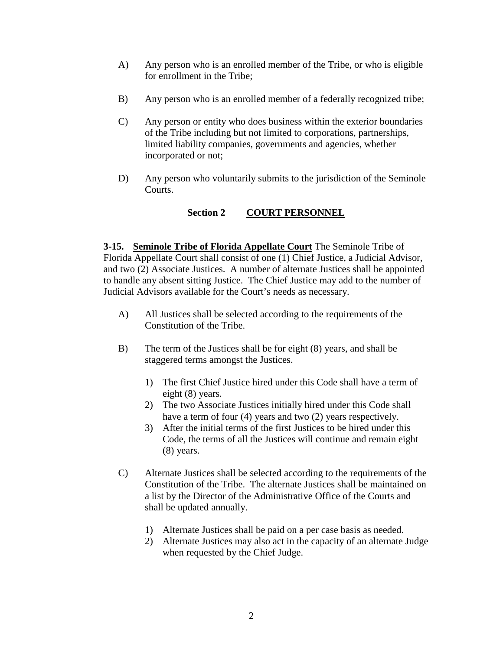- A) Any person who is an enrolled member of the Tribe, or who is eligible for enrollment in the Tribe;
- B) Any person who is an enrolled member of a federally recognized tribe;
- C) Any person or entity who does business within the exterior boundaries of the Tribe including but not limited to corporations, partnerships, limited liability companies, governments and agencies, whether incorporated or not;
- D) Any person who voluntarily submits to the jurisdiction of the Seminole Courts.

#### **Section 2 COURT PERSONNEL**

**3-15. Seminole Tribe of Florida Appellate Court** The Seminole Tribe of Florida Appellate Court shall consist of one (1) Chief Justice, a Judicial Advisor, and two (2) Associate Justices. A number of alternate Justices shall be appointed to handle any absent sitting Justice. The Chief Justice may add to the number of Judicial Advisors available for the Court's needs as necessary.

- A) All Justices shall be selected according to the requirements of the Constitution of the Tribe.
- B) The term of the Justices shall be for eight (8) years, and shall be staggered terms amongst the Justices.
	- 1) The first Chief Justice hired under this Code shall have a term of eight (8) years.
	- 2) The two Associate Justices initially hired under this Code shall have a term of four (4) years and two (2) years respectively.
	- 3) After the initial terms of the first Justices to be hired under this Code, the terms of all the Justices will continue and remain eight (8) years.
- C) Alternate Justices shall be selected according to the requirements of the Constitution of the Tribe. The alternate Justices shall be maintained on a list by the Director of the Administrative Office of the Courts and shall be updated annually.
	- 1) Alternate Justices shall be paid on a per case basis as needed.
	- 2) Alternate Justices may also act in the capacity of an alternate Judge when requested by the Chief Judge.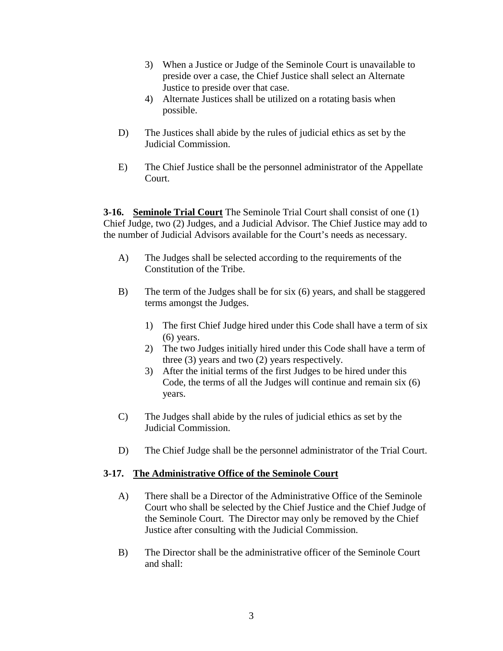- 3) When a Justice or Judge of the Seminole Court is unavailable to preside over a case, the Chief Justice shall select an Alternate Justice to preside over that case.
- 4) Alternate Justices shall be utilized on a rotating basis when possible.
- D) The Justices shall abide by the rules of judicial ethics as set by the Judicial Commission.
- E) The Chief Justice shall be the personnel administrator of the Appellate Court.

**3-16. Seminole Trial Court** The Seminole Trial Court shall consist of one (1) Chief Judge, two (2) Judges, and a Judicial Advisor. The Chief Justice may add to the number of Judicial Advisors available for the Court's needs as necessary.

- A) The Judges shall be selected according to the requirements of the Constitution of the Tribe.
- B) The term of the Judges shall be for six (6) years, and shall be staggered terms amongst the Judges.
	- 1) The first Chief Judge hired under this Code shall have a term of six (6) years.
	- 2) The two Judges initially hired under this Code shall have a term of three (3) years and two (2) years respectively.
	- 3) After the initial terms of the first Judges to be hired under this Code, the terms of all the Judges will continue and remain six (6) years.
- C) The Judges shall abide by the rules of judicial ethics as set by the Judicial Commission.
- D) The Chief Judge shall be the personnel administrator of the Trial Court.

#### **3-17. The Administrative Office of the Seminole Court**

- A) There shall be a Director of the Administrative Office of the Seminole Court who shall be selected by the Chief Justice and the Chief Judge of the Seminole Court. The Director may only be removed by the Chief Justice after consulting with the Judicial Commission.
- B) The Director shall be the administrative officer of the Seminole Court and shall: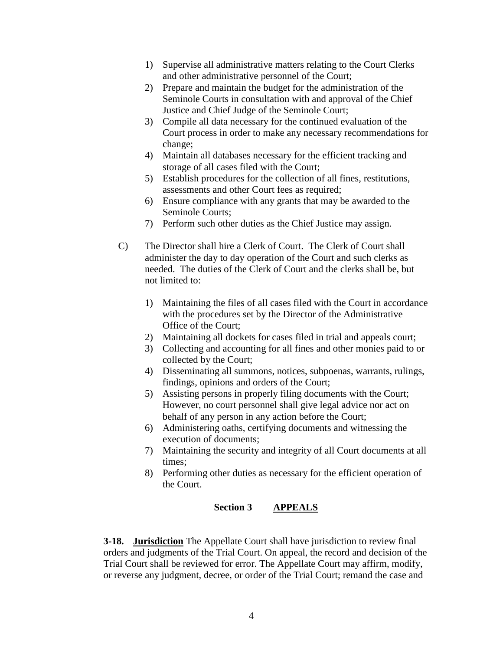- 1) Supervise all administrative matters relating to the Court Clerks and other administrative personnel of the Court;
- 2) Prepare and maintain the budget for the administration of the Seminole Courts in consultation with and approval of the Chief Justice and Chief Judge of the Seminole Court;
- 3) Compile all data necessary for the continued evaluation of the Court process in order to make any necessary recommendations for change;
- 4) Maintain all databases necessary for the efficient tracking and storage of all cases filed with the Court;
- 5) Establish procedures for the collection of all fines, restitutions, assessments and other Court fees as required;
- 6) Ensure compliance with any grants that may be awarded to the Seminole Courts;
- 7) Perform such other duties as the Chief Justice may assign.
- C) The Director shall hire a Clerk of Court. The Clerk of Court shall administer the day to day operation of the Court and such clerks as needed. The duties of the Clerk of Court and the clerks shall be, but not limited to:
	- 1) Maintaining the files of all cases filed with the Court in accordance with the procedures set by the Director of the Administrative Office of the Court;
	- 2) Maintaining all dockets for cases filed in trial and appeals court;
	- 3) Collecting and accounting for all fines and other monies paid to or collected by the Court;
	- 4) Disseminating all summons, notices, subpoenas, warrants, rulings, findings, opinions and orders of the Court;
	- 5) Assisting persons in properly filing documents with the Court; However, no court personnel shall give legal advice nor act on behalf of any person in any action before the Court;
	- 6) Administering oaths, certifying documents and witnessing the execution of documents;
	- 7) Maintaining the security and integrity of all Court documents at all times;
	- 8) Performing other duties as necessary for the efficient operation of the Court.

#### **Section 3 APPEALS**

**3-18. Jurisdiction** The Appellate Court shall have jurisdiction to review final orders and judgments of the Trial Court. On appeal, the record and decision of the Trial Court shall be reviewed for error. The Appellate Court may affirm, modify, or reverse any judgment, decree, or order of the Trial Court; remand the case and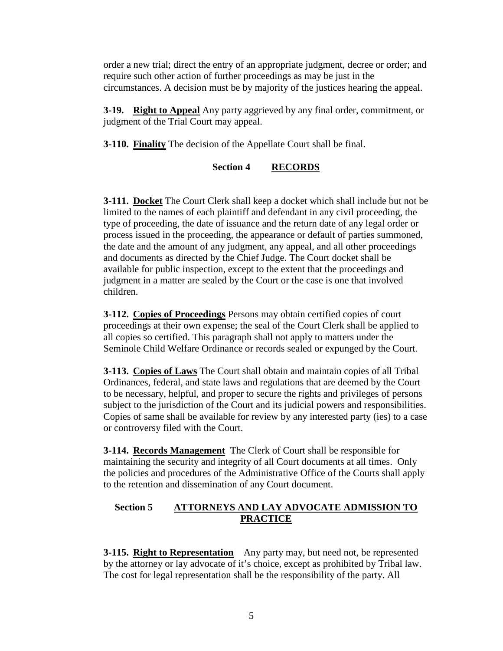order a new trial; direct the entry of an appropriate judgment, decree or order; and require such other action of further proceedings as may be just in the circumstances. A decision must be by majority of the justices hearing the appeal.

**3-19. Right to Appeal** Any party aggrieved by any final order, commitment, or judgment of the Trial Court may appeal.

**3-110. Finality** The decision of the Appellate Court shall be final.

#### **Section 4 RECORDS**

**3-111. Docket** The Court Clerk shall keep a docket which shall include but not be limited to the names of each plaintiff and defendant in any civil proceeding, the type of proceeding, the date of issuance and the return date of any legal order or process issued in the proceeding, the appearance or default of parties summoned, the date and the amount of any judgment, any appeal, and all other proceedings and documents as directed by the Chief Judge. The Court docket shall be available for public inspection, except to the extent that the proceedings and judgment in a matter are sealed by the Court or the case is one that involved children.

**3-112. Copies of Proceedings** Persons may obtain certified copies of court proceedings at their own expense; the seal of the Court Clerk shall be applied to all copies so certified. This paragraph shall not apply to matters under the Seminole Child Welfare Ordinance or records sealed or expunged by the Court.

**3-113. Copies of Laws** The Court shall obtain and maintain copies of all Tribal Ordinances, federal, and state laws and regulations that are deemed by the Court to be necessary, helpful, and proper to secure the rights and privileges of persons subject to the jurisdiction of the Court and its judicial powers and responsibilities. Copies of same shall be available for review by any interested party (ies) to a case or controversy filed with the Court.

**3-114. Records Management** The Clerk of Court shall be responsible for maintaining the security and integrity of all Court documents at all times. Only the policies and procedures of the Administrative Office of the Courts shall apply to the retention and dissemination of any Court document.

#### **Section 5 ATTORNEYS AND LAY ADVOCATE ADMISSION TO PRACTICE**

**3-115. Right to Representation** Any party may, but need not, be represented by the attorney or lay advocate of it's choice, except as prohibited by Tribal law. The cost for legal representation shall be the responsibility of the party. All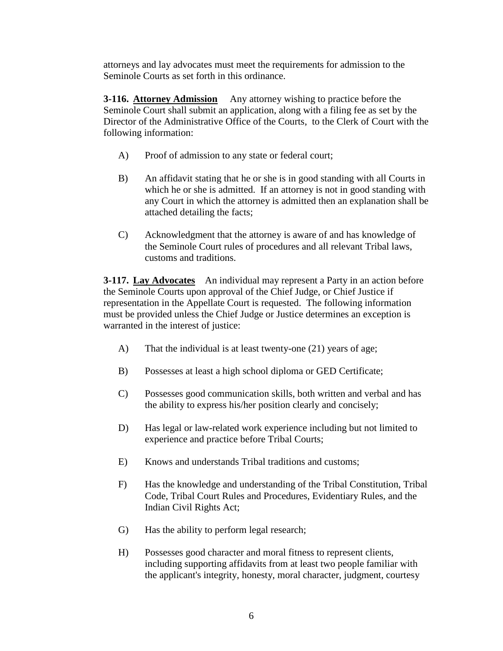attorneys and lay advocates must meet the requirements for admission to the Seminole Courts as set forth in this ordinance.

**3-116. Attorney Admission** Any attorney wishing to practice before the Seminole Court shall submit an application, along with a filing fee as set by the Director of the Administrative Office of the Courts, to the Clerk of Court with the following information:

- A) Proof of admission to any state or federal court;
- B) An affidavit stating that he or she is in good standing with all Courts in which he or she is admitted. If an attorney is not in good standing with any Court in which the attorney is admitted then an explanation shall be attached detailing the facts;
- C) Acknowledgment that the attorney is aware of and has knowledge of the Seminole Court rules of procedures and all relevant Tribal laws, customs and traditions.

**3-117.** Lay Advocates An individual may represent a Party in an action before the Seminole Courts upon approval of the Chief Judge, or Chief Justice if representation in the Appellate Court is requested. The following information must be provided unless the Chief Judge or Justice determines an exception is warranted in the interest of justice:

- A) That the individual is at least twenty-one (21) years of age;
- B) Possesses at least a high school diploma or GED Certificate;
- C) Possesses good communication skills, both written and verbal and has the ability to express his/her position clearly and concisely;
- D) Has legal or law-related work experience including but not limited to experience and practice before Tribal Courts;
- E) Knows and understands Tribal traditions and customs;
- F) Has the knowledge and understanding of the Tribal Constitution, Tribal Code, Tribal Court Rules and Procedures, Evidentiary Rules, and the Indian Civil Rights Act;
- G) Has the ability to perform legal research;
- H) Possesses good character and moral fitness to represent clients, including supporting affidavits from at least two people familiar with the applicant's integrity, honesty, moral character, judgment, courtesy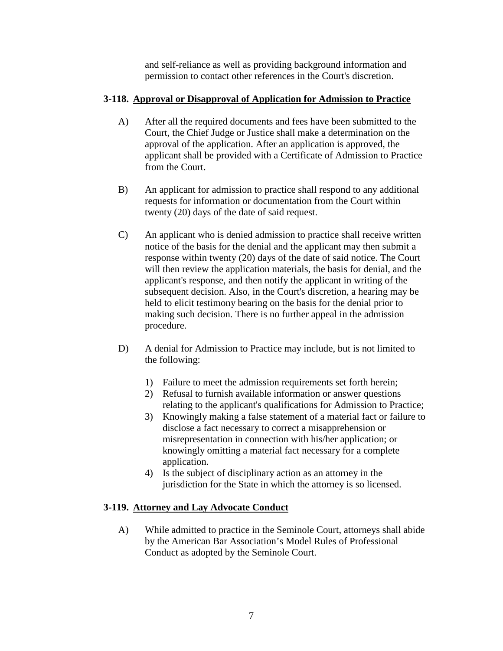and self-reliance as well as providing background information and permission to contact other references in the Court's discretion.

#### **3-118. Approval or Disapproval of Application for Admission to Practice**

- A) After all the required documents and fees have been submitted to the Court, the Chief Judge or Justice shall make a determination on the approval of the application. After an application is approved, the applicant shall be provided with a Certificate of Admission to Practice from the Court.
- B) An applicant for admission to practice shall respond to any additional requests for information or documentation from the Court within twenty (20) days of the date of said request.
- C) An applicant who is denied admission to practice shall receive written notice of the basis for the denial and the applicant may then submit a response within twenty (20) days of the date of said notice. The Court will then review the application materials, the basis for denial, and the applicant's response, and then notify the applicant in writing of the subsequent decision. Also, in the Court's discretion, a hearing may be held to elicit testimony bearing on the basis for the denial prior to making such decision. There is no further appeal in the admission procedure.
- D) A denial for Admission to Practice may include, but is not limited to the following:
	- 1) Failure to meet the admission requirements set forth herein;
	- 2) Refusal to furnish available information or answer questions relating to the applicant's qualifications for Admission to Practice;
	- 3) Knowingly making a false statement of a material fact or failure to disclose a fact necessary to correct a misapprehension or misrepresentation in connection with his/her application; or knowingly omitting a material fact necessary for a complete application.
	- 4) Is the subject of disciplinary action as an attorney in the jurisdiction for the State in which the attorney is so licensed.

#### **3-119. Attorney and Lay Advocate Conduct**

A) While admitted to practice in the Seminole Court, attorneys shall abide by the American Bar Association's Model Rules of Professional Conduct as adopted by the Seminole Court.